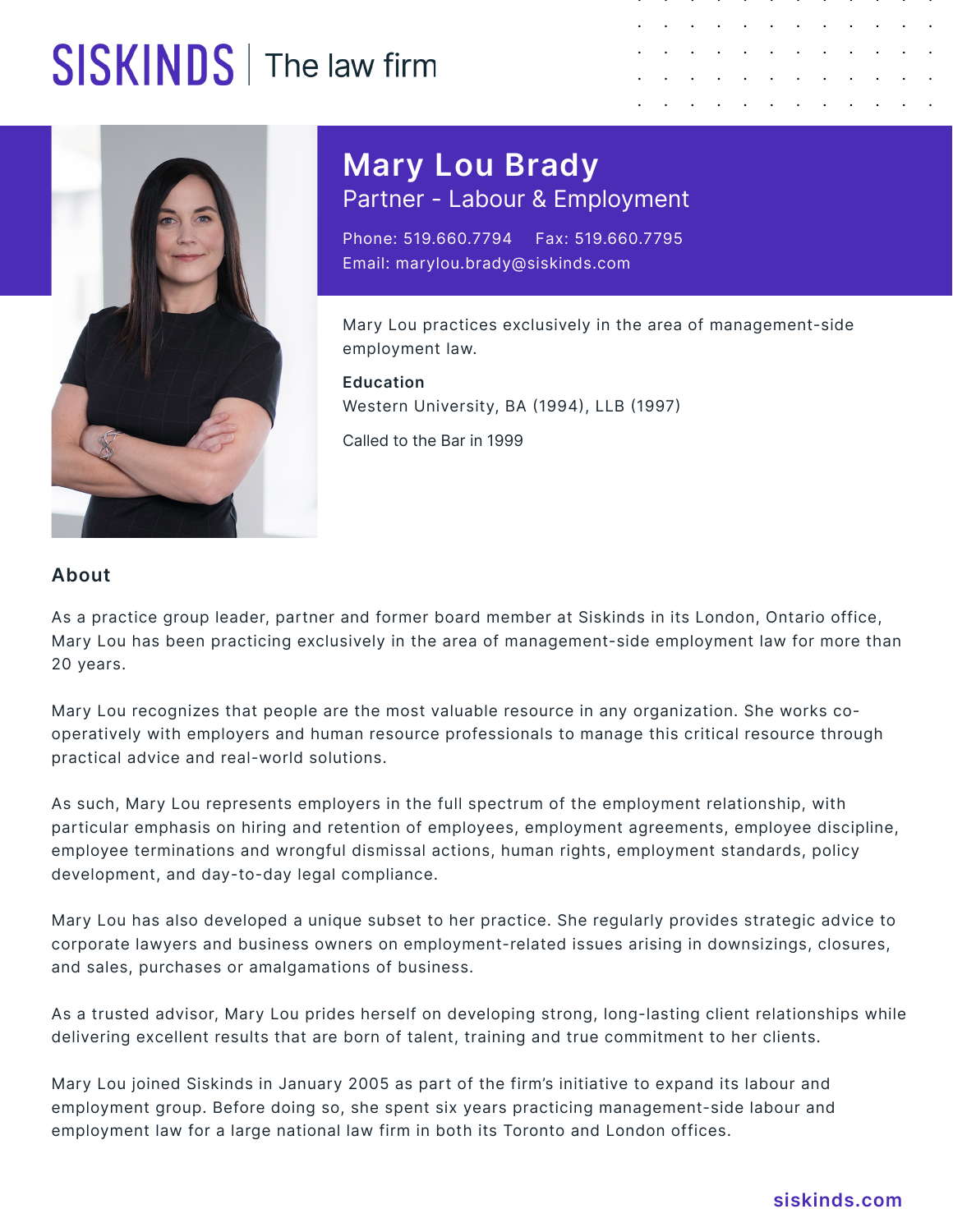## SISKINDS | The law firm





**Mary Lou Brady** Partner - Labour & Employment

Phone: 519.660.7794 Fax: 519.660.7795 Email: marylou.brady@siskinds.com

Mary Lou practices exclusively in the area of management-side employment law.

**Education** Western University, BA (1994), LLB (1997)

Called to the Bar in 1999

## **About**

As a practice group leader, partner and former board member at Siskinds in its London, Ontario office, Mary Lou has been practicing exclusively in the area of management-side employment law for more than 20 years.

Mary Lou recognizes that people are the most valuable resource in any organization. She works cooperatively with employers and human resource professionals to manage this critical resource through practical advice and real-world solutions.

As such, Mary Lou represents employers in the full spectrum of the employment relationship, with particular emphasis on hiring and retention of employees, employment agreements, employee discipline, employee terminations and wrongful dismissal actions, human rights, employment standards, policy development, and day-to-day legal compliance.

Mary Lou has also developed a unique subset to her practice. She regularly provides strategic advice to corporate lawyers and business owners on employment-related issues arising in downsizings, closures, and sales, purchases or amalgamations of business.

As a trusted advisor, Mary Lou prides herself on developing strong, long-lasting client relationships while delivering excellent results that are born of talent, training and true commitment to her clients.

Mary Lou joined Siskinds in January 2005 as part of the firm's initiative to expand its labour and employment group. Before doing so, she spent six years practicing management-side labour and employment law for a large national law firm in both its Toronto and London offices.